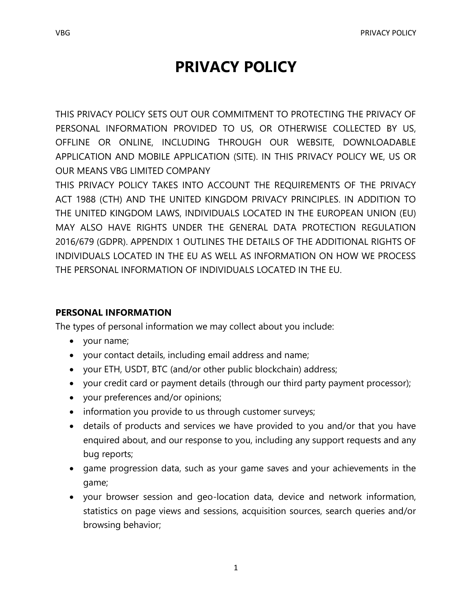# **PRIVACY POLICY**

THIS PRIVACY POLICY SETS OUT OUR COMMITMENT TO PROTECTING THE PRIVACY OF PERSONAL INFORMATION PROVIDED TO US, OR OTHERWISE COLLECTED BY US, OFFLINE OR ONLINE, INCLUDING THROUGH OUR WEBSITE, DOWNLOADABLE APPLICATION AND MOBILE APPLICATION (SITE). IN THIS PRIVACY POLICY WE, US OR OUR MEANS VBG LIMITED COMPANY

THIS PRIVACY POLICY TAKES INTO ACCOUNT THE REQUIREMENTS OF THE PRIVACY ACT 1988 (CTH) AND THE UNITED KINGDOM PRIVACY PRINCIPLES. IN ADDITION TO THE UNITED KINGDOM LAWS, INDIVIDUALS LOCATED IN THE EUROPEAN UNION (EU) MAY ALSO HAVE RIGHTS UNDER THE GENERAL DATA PROTECTION REGULATION 2016/679 (GDPR). APPENDIX 1 OUTLINES THE DETAILS OF THE ADDITIONAL RIGHTS OF INDIVIDUALS LOCATED IN THE EU AS WELL AS INFORMATION ON HOW WE PROCESS THE PERSONAL INFORMATION OF INDIVIDUALS LOCATED IN THE EU.

#### **PERSONAL INFORMATION**

The types of personal information we may collect about you include:

- your name;
- your contact details, including email address and name;
- your ETH, USDT, BTC (and/or other public blockchain) address;
- your credit card or payment details (through our third party payment processor);
- your preferences and/or opinions;
- information you provide to us through customer surveys;
- details of products and services we have provided to you and/or that you have enquired about, and our response to you, including any support requests and any bug reports;
- game progression data, such as your game saves and your achievements in the game;
- your browser session and geo-location data, device and network information, statistics on page views and sessions, acquisition sources, search queries and/or browsing behavior;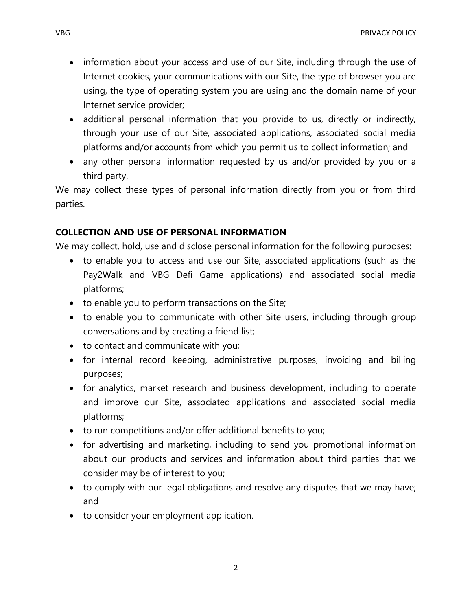- information about your access and use of our Site, including through the use of Internet cookies, your communications with our Site, the type of browser you are using, the type of operating system you are using and the domain name of your Internet service provider;
- additional personal information that you provide to us, directly or indirectly, through your use of our Site, associated applications, associated social media platforms and/or accounts from which you permit us to collect information; and
- any other personal information requested by us and/or provided by you or a third party.

We may collect these types of personal information directly from you or from third parties.

# **COLLECTION AND USE OF PERSONAL INFORMATION**

We may collect, hold, use and disclose personal information for the following purposes:

- to enable you to access and use our Site, associated applications (such as the Pay2Walk and VBG Defi Game applications) and associated social media platforms;
- to enable you to perform transactions on the Site;
- to enable you to communicate with other Site users, including through group conversations and by creating a friend list;
- to contact and communicate with you;
- for internal record keeping, administrative purposes, invoicing and billing purposes;
- for analytics, market research and business development, including to operate and improve our Site, associated applications and associated social media platforms;
- to run competitions and/or offer additional benefits to you;
- for advertising and marketing, including to send you promotional information about our products and services and information about third parties that we consider may be of interest to you;
- to comply with our legal obligations and resolve any disputes that we may have; and
- to consider your employment application.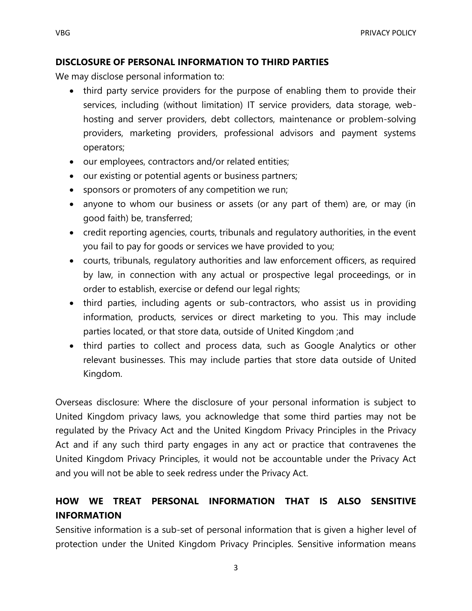#### **DISCLOSURE OF PERSONAL INFORMATION TO THIRD PARTIES**

We may disclose personal information to:

- third party service providers for the purpose of enabling them to provide their services, including (without limitation) IT service providers, data storage, webhosting and server providers, debt collectors, maintenance or problem-solving providers, marketing providers, professional advisors and payment systems operators;
- our employees, contractors and/or related entities;
- our existing or potential agents or business partners;
- sponsors or promoters of any competition we run;
- anyone to whom our business or assets (or any part of them) are, or may (in good faith) be, transferred;
- credit reporting agencies, courts, tribunals and regulatory authorities, in the event you fail to pay for goods or services we have provided to you;
- courts, tribunals, regulatory authorities and law enforcement officers, as required by law, in connection with any actual or prospective legal proceedings, or in order to establish, exercise or defend our legal rights;
- third parties, including agents or sub-contractors, who assist us in providing information, products, services or direct marketing to you. This may include parties located, or that store data, outside of United Kingdom ;and
- third parties to collect and process data, such as Google Analytics or other relevant businesses. This may include parties that store data outside of United Kingdom.

Overseas disclosure: Where the disclosure of your personal information is subject to United Kingdom privacy laws, you acknowledge that some third parties may not be regulated by the Privacy Act and the United Kingdom Privacy Principles in the Privacy Act and if any such third party engages in any act or practice that contravenes the United Kingdom Privacy Principles, it would not be accountable under the Privacy Act and you will not be able to seek redress under the Privacy Act.

# **HOW WE TREAT PERSONAL INFORMATION THAT IS ALSO SENSITIVE INFORMATION**

Sensitive information is a sub-set of personal information that is given a higher level of protection under the United Kingdom Privacy Principles. Sensitive information means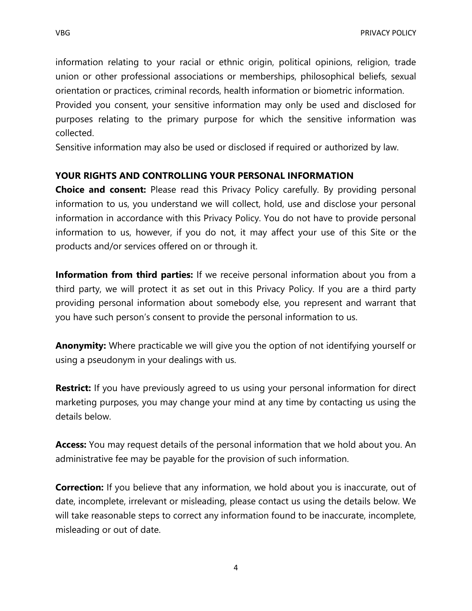information relating to your racial or ethnic origin, political opinions, religion, trade union or other professional associations or memberships, philosophical beliefs, sexual orientation or practices, criminal records, health information or biometric information.

Provided you consent, your sensitive information may only be used and disclosed for purposes relating to the primary purpose for which the sensitive information was collected.

Sensitive information may also be used or disclosed if required or authorized by law.

# **YOUR RIGHTS AND CONTROLLING YOUR PERSONAL INFORMATION**

**Choice and consent:** Please read this Privacy Policy carefully. By providing personal information to us, you understand we will collect, hold, use and disclose your personal information in accordance with this Privacy Policy. You do not have to provide personal information to us, however, if you do not, it may affect your use of this Site or the products and/or services offered on or through it.

**Information from third parties:** If we receive personal information about you from a third party, we will protect it as set out in this Privacy Policy. If you are a third party providing personal information about somebody else, you represent and warrant that you have such person's consent to provide the personal information to us.

**Anonymity:** Where practicable we will give you the option of not identifying yourself or using a pseudonym in your dealings with us.

**Restrict:** If you have previously agreed to us using your personal information for direct marketing purposes, you may change your mind at any time by contacting us using the details below.

**Access:** You may request details of the personal information that we hold about you. An administrative fee may be payable for the provision of such information.

**Correction:** If you believe that any information, we hold about you is inaccurate, out of date, incomplete, irrelevant or misleading, please contact us using the details below. We will take reasonable steps to correct any information found to be inaccurate, incomplete, misleading or out of date.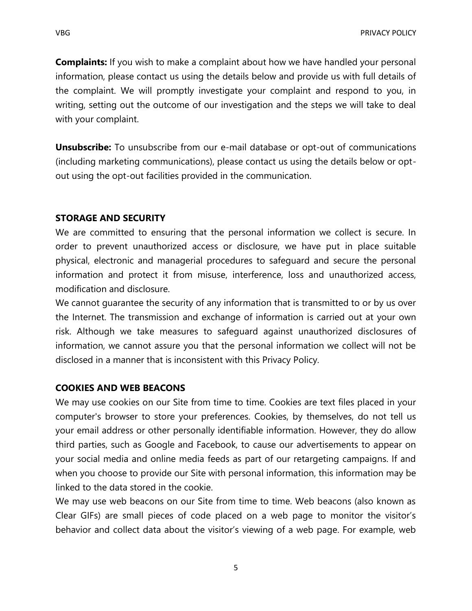**Complaints:** If you wish to make a complaint about how we have handled your personal information, please contact us using the details below and provide us with full details of the complaint. We will promptly investigate your complaint and respond to you, in writing, setting out the outcome of our investigation and the steps we will take to deal with your complaint.

**Unsubscribe:** To unsubscribe from our e-mail database or opt-out of communications (including marketing communications), please contact us using the details below or optout using the opt-out facilities provided in the communication.

#### **STORAGE AND SECURITY**

We are committed to ensuring that the personal information we collect is secure. In order to prevent unauthorized access or disclosure, we have put in place suitable physical, electronic and managerial procedures to safeguard and secure the personal information and protect it from misuse, interference, loss and unauthorized access, modification and disclosure.

We cannot guarantee the security of any information that is transmitted to or by us over the Internet. The transmission and exchange of information is carried out at your own risk. Although we take measures to safeguard against unauthorized disclosures of information, we cannot assure you that the personal information we collect will not be disclosed in a manner that is inconsistent with this Privacy Policy.

#### **COOKIES AND WEB BEACONS**

We may use cookies on our Site from time to time. Cookies are text files placed in your computer's browser to store your preferences. Cookies, by themselves, do not tell us your email address or other personally identifiable information. However, they do allow third parties, such as Google and Facebook, to cause our advertisements to appear on your social media and online media feeds as part of our retargeting campaigns. If and when you choose to provide our Site with personal information, this information may be linked to the data stored in the cookie.

We may use web beacons on our Site from time to time. Web beacons (also known as Clear GIFs) are small pieces of code placed on a web page to monitor the visitor's behavior and collect data about the visitor's viewing of a web page. For example, web